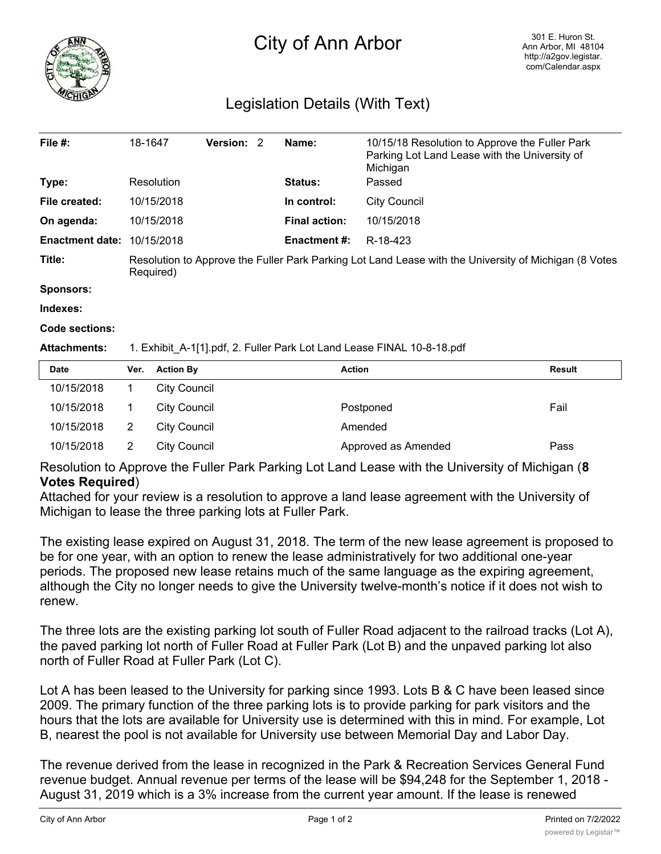

# City of Ann Arbor

## Legislation Details (With Text)

| File $#$ :             | 18-1647                                                                                                            | <b>Version: 2</b> |  | Name:                | 10/15/18 Resolution to Approve the Fuller Park<br>Parking Lot Land Lease with the University of<br>Michigan |
|------------------------|--------------------------------------------------------------------------------------------------------------------|-------------------|--|----------------------|-------------------------------------------------------------------------------------------------------------|
| Type:                  | Resolution                                                                                                         |                   |  | <b>Status:</b>       | Passed                                                                                                      |
| File created:          | 10/15/2018                                                                                                         |                   |  | In control:          | City Council                                                                                                |
| On agenda:             | 10/15/2018                                                                                                         |                   |  | <b>Final action:</b> | 10/15/2018                                                                                                  |
| <b>Enactment date:</b> | 10/15/2018                                                                                                         |                   |  | <b>Enactment #:</b>  | R-18-423                                                                                                    |
| Title:                 | Resolution to Approve the Fuller Park Parking Lot Land Lease with the University of Michigan (8 Votes<br>Required) |                   |  |                      |                                                                                                             |

**Sponsors:**

**Indexes:**

#### **Code sections:**

#### **Attachments:** 1. Exhibit\_A-1[1].pdf, 2. Fuller Park Lot Land Lease FINAL 10-8-18.pdf

| <b>Date</b> | Ver. | <b>Action By</b>    | <b>Action</b>       | <b>Result</b> |
|-------------|------|---------------------|---------------------|---------------|
| 10/15/2018  |      | <b>City Council</b> |                     |               |
| 10/15/2018  |      | City Council        | Postponed           | Fail          |
| 10/15/2018  | 2    | City Council        | Amended             |               |
| 10/15/2018  |      | City Council        | Approved as Amended | Pass          |

Resolution to Approve the Fuller Park Parking Lot Land Lease with the University of Michigan (**8 Votes Required**)

Attached for your review is a resolution to approve a land lease agreement with the University of Michigan to lease the three parking lots at Fuller Park.

The existing lease expired on August 31, 2018. The term of the new lease agreement is proposed to be for one year, with an option to renew the lease administratively for two additional one-year periods. The proposed new lease retains much of the same language as the expiring agreement, although the City no longer needs to give the University twelve-month's notice if it does not wish to renew.

The three lots are the existing parking lot south of Fuller Road adjacent to the railroad tracks (Lot A), the paved parking lot north of Fuller Road at Fuller Park (Lot B) and the unpaved parking lot also north of Fuller Road at Fuller Park (Lot C).

Lot A has been leased to the University for parking since 1993. Lots B & C have been leased since 2009. The primary function of the three parking lots is to provide parking for park visitors and the hours that the lots are available for University use is determined with this in mind. For example, Lot B, nearest the pool is not available for University use between Memorial Day and Labor Day.

The revenue derived from the lease in recognized in the Park & Recreation Services General Fund revenue budget. Annual revenue per terms of the lease will be \$94,248 for the September 1, 2018 - August 31, 2019 which is a 3% increase from the current year amount. If the lease is renewed